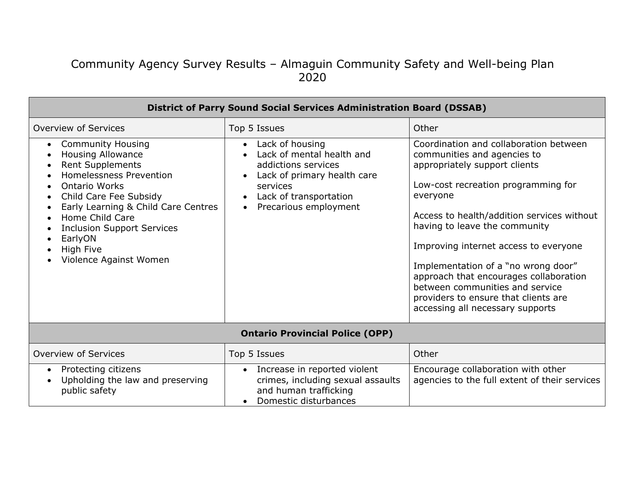## Community Agency Survey Results – Almaguin Community Safety and Well-being Plan 2020

| <b>District of Parry Sound Social Services Administration Board (DSSAB)</b>                                                                                                                                                                                                                                                                    |                                                                                                                                                                   |                                                                                                                                                                                                                                                                                                                                                                                                                                                                                   |  |  |
|------------------------------------------------------------------------------------------------------------------------------------------------------------------------------------------------------------------------------------------------------------------------------------------------------------------------------------------------|-------------------------------------------------------------------------------------------------------------------------------------------------------------------|-----------------------------------------------------------------------------------------------------------------------------------------------------------------------------------------------------------------------------------------------------------------------------------------------------------------------------------------------------------------------------------------------------------------------------------------------------------------------------------|--|--|
| Overview of Services                                                                                                                                                                                                                                                                                                                           | Top 5 Issues                                                                                                                                                      | Other                                                                                                                                                                                                                                                                                                                                                                                                                                                                             |  |  |
| <b>Community Housing</b><br>$\bullet$<br><b>Housing Allowance</b><br><b>Rent Supplements</b><br><b>Homelessness Prevention</b><br><b>Ontario Works</b><br>Child Care Fee Subsidy<br>$\bullet$<br>Early Learning & Child Care Centres<br>Home Child Care<br><b>Inclusion Support Services</b><br>EarlyON<br>High Five<br>Violence Against Women | Lack of housing<br>Lack of mental health and<br>addictions services<br>Lack of primary health care<br>services<br>Lack of transportation<br>Precarious employment | Coordination and collaboration between<br>communities and agencies to<br>appropriately support clients<br>Low-cost recreation programming for<br>everyone<br>Access to health/addition services without<br>having to leave the community<br>Improving internet access to everyone<br>Implementation of a "no wrong door"<br>approach that encourages collaboration<br>between communities and service<br>providers to ensure that clients are<br>accessing all necessary supports |  |  |
| <b>Ontario Provincial Police (OPP)</b>                                                                                                                                                                                                                                                                                                         |                                                                                                                                                                   |                                                                                                                                                                                                                                                                                                                                                                                                                                                                                   |  |  |
| Overview of Services                                                                                                                                                                                                                                                                                                                           | Top 5 Issues                                                                                                                                                      | Other                                                                                                                                                                                                                                                                                                                                                                                                                                                                             |  |  |
| Protecting citizens<br>$\bullet$<br>Upholding the law and preserving<br>public safety                                                                                                                                                                                                                                                          | Increase in reported violent<br>$\bullet$<br>crimes, including sexual assaults<br>and human trafficking<br>Domestic disturbances                                  | Encourage collaboration with other<br>agencies to the full extent of their services                                                                                                                                                                                                                                                                                                                                                                                               |  |  |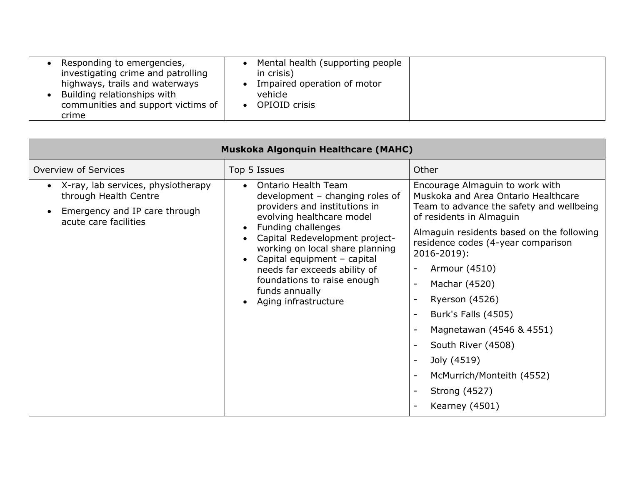| Responding to emergencies,<br>investigating crime and patrolling<br>highways, trails and waterways<br>Building relationships with<br>communities and support victims of<br>crime | Mental health (supporting people<br>in crisis)<br>Impaired operation of motor<br>vehicle<br><b>OPIOID</b> crisis |
|----------------------------------------------------------------------------------------------------------------------------------------------------------------------------------|------------------------------------------------------------------------------------------------------------------|
|----------------------------------------------------------------------------------------------------------------------------------------------------------------------------------|------------------------------------------------------------------------------------------------------------------|

| Muskoka Algonquin Healthcare (MAHC)                                                                                   |                                                                                                                                                                                                                                                                                                                                                           |                                                                                                                                                                                                                                                                                                                                                                                                                                                                                                            |  |  |
|-----------------------------------------------------------------------------------------------------------------------|-----------------------------------------------------------------------------------------------------------------------------------------------------------------------------------------------------------------------------------------------------------------------------------------------------------------------------------------------------------|------------------------------------------------------------------------------------------------------------------------------------------------------------------------------------------------------------------------------------------------------------------------------------------------------------------------------------------------------------------------------------------------------------------------------------------------------------------------------------------------------------|--|--|
| Overview of Services                                                                                                  | Top 5 Issues                                                                                                                                                                                                                                                                                                                                              | Other                                                                                                                                                                                                                                                                                                                                                                                                                                                                                                      |  |  |
| X-ray, lab services, physiotherapy<br>through Health Centre<br>Emergency and IP care through<br>acute care facilities | Ontario Health Team<br>development $-$ changing roles of<br>providers and institutions in<br>evolving healthcare model<br>Funding challenges<br>Capital Redevelopment project-<br>working on local share planning<br>Capital equipment - capital<br>needs far exceeds ability of<br>foundations to raise enough<br>funds annually<br>Aging infrastructure | Encourage Almaguin to work with<br>Muskoka and Area Ontario Healthcare<br>Team to advance the safety and wellbeing<br>of residents in Almaguin<br>Almaguin residents based on the following<br>residence codes (4-year comparison<br>$2016 - 2019$ :<br>Armour (4510)<br>Machar (4520)<br>$\overline{\phantom{a}}$<br><b>Ryerson (4526)</b><br>Burk's Falls (4505)<br>Magnetawan (4546 & 4551)<br>South River (4508)<br>Joly (4519)<br>McMurrich/Monteith (4552)<br><b>Strong (4527)</b><br>Kearney (4501) |  |  |